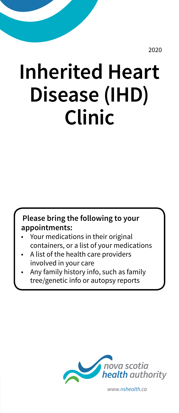2020

# **Inherited Heart Disease (IHD) Clinic**

**Please bring the following to your appointments:** 

- Your medications in their original containers, or a list of your medications
- A list of the health care providers involved in your care
- Any family history info, such as family tree/genetic info or autopsy reports



*www.nshealth.ca*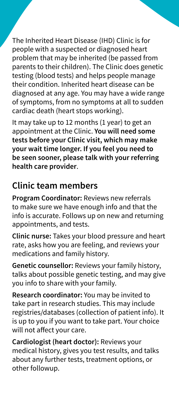The Inherited Heart Disease (IHD) Clinic is for people with a suspected or diagnosed heart problem that may be inherited (be passed from parents to their children). The Clinic does genetic testing (blood tests) and helps people manage their condition. Inherited heart disease can be diagnosed at any age. You may have a wide range of symptoms, from no symptoms at all to sudden cardiac death (heart stops working).

It may take up to 12 months (1 year) to get an appointment at the Clinic. **You will need some tests before your Clinic visit, which may make your wait time longer. If you feel you need to be seen sooner, please talk with your referring health care provider**.

#### **Clinic team members**

**Program Coordinator:** Reviews new referrals to make sure we have enough info and that the info is accurate. Follows up on new and returning appointments, and tests.

**Clinic nurse:** Takes your blood pressure and heart rate, asks how you are feeling, and reviews your medications and family history.

**Genetic counsellor:** Reviews your family history, talks about possible genetic testing, and may give you info to share with your family.

**Research coordinator:** You may be invited to take part in research studies. This may include registries/databases (collection of patient info). It is up to you if you want to take part. Your choice will not affect your care.

**Cardiologist (heart doctor):** Reviews your medical history, gives you test results, and talks about any further tests, treatment options, or other followup.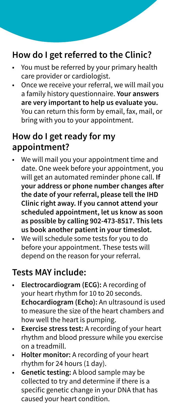## **How do I get referred to the Clinic?**

- You must be referred by your primary health care provider or cardiologist.
- Once we receive your referral, we will mail you a family history questionnaire. **Your answers are very important to help us evaluate you.**  You can return this form by email, fax, mail, or bring with you to your appointment.

#### **How do I get ready for my appointment?**

- We will mail you your appointment time and date. One week before your appointment, you will get an automated reminder phone call. **If your address or phone number changes after the date of your referral, please tell the IHD Clinic right away. If you cannot attend your scheduled appointment, let us know as soon as possible by calling 902-473-8517. This lets us book another patient in your timeslot.**
- We will schedule some tests for you to do before your appointment. These tests will depend on the reason for your referral.

#### **Tests MAY include:**

- **Electrocardiogram (ECG):** A recording of your heart rhythm for 10 to 20 seconds. **Echocardiogram (Echo):** An ultrasound is used to measure the size of the heart chambers and how well the heart is pumping.
- **Exercise stress test:** A recording of your heart rhythm and blood pressure while you exercise on a treadmill.
- **Holter monitor:** A recording of your heart rhythm for 24 hours (1 day).
- **Genetic testing:** A blood sample may be collected to try and determine if there is a specific genetic change in your DNA that has caused your heart condition.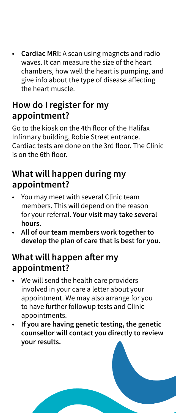• **Cardiac MRI:** A scan using magnets and radio waves. It can measure the size of the heart chambers, how well the heart is pumping, and give info about the type of disease affecting the heart muscle.

## **How do I register for my appointment?**

Go to the kiosk on the 4th floor of the Halifax Infirmary building, Robie Street entrance. Cardiac tests are done on the 3rd floor. The Clinic is on the 6th floor.

## **What will happen during my appointment?**

- You may meet with several Clinic team members. This will depend on the reason for your referral. **Your visit may take several hours.**
- **All of our team members work together to develop the plan of care that is best for you.**

## **What will happen after my appointment?**

- We will send the health care providers involved in your care a letter about your appointment. We may also arrange for you to have further followup tests and Clinic appointments.
- **If you are having genetic testing, the genetic counsellor will contact you directly to review your results.**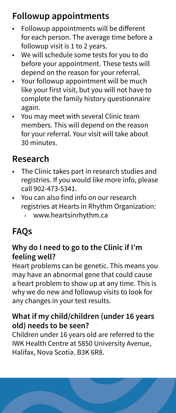# **Followup appointments**

- Followup appointments will be different for each person. The average time before a followup visit is 1 to 2 years.
- We will schedule some tests for you to do before your appointment. These tests will depend on the reason for your referral.
- Your followup appointment will be much like your first visit, but you will not have to complete the family history questionnaire again.
- You may meet with several Clinic team members. This will depend on the reason for your referral. Your visit will take about 30 minutes.

## **Research**

- The Clinic takes part in research studies and registries. If you would like more info, please call 902-473-5341.
- You can also find info on our research registries at Hearts in Rhythm Organization:
	- › www.heartsinrhythm.ca

# **FAQs**

#### **Why do I need to go to the Clinic if I'm feeling well?**

Heart problems can be genetic. This means you may have an abnormal gene that could cause a heart problem to show up at any time. This is why we do new and followup visits to look for any changes in your test results.

#### **What if my child/children (under 16 years old) needs to be seen?**

Children under 16 years old are referred to the IWK Health Centre at 5850 University Avenue, Halifax, Nova Scotia, B3K 6R8.